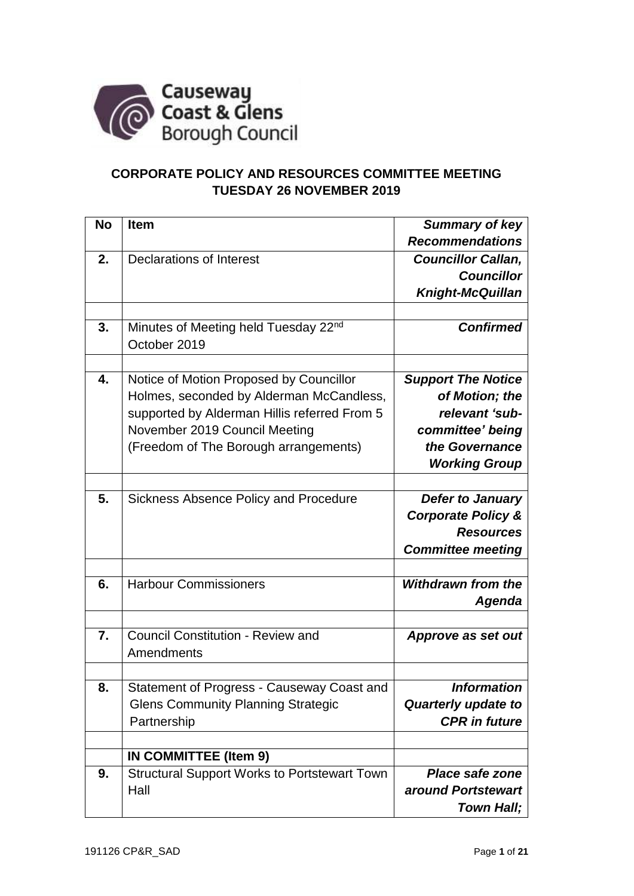

## **CORPORATE POLICY AND RESOURCES COMMITTEE MEETING TUESDAY 26 NOVEMBER 2019**

| <b>No</b> | <b>Item</b>                                         | Summary of key                |
|-----------|-----------------------------------------------------|-------------------------------|
|           |                                                     | <b>Recommendations</b>        |
| 2.        | <b>Declarations of Interest</b>                     | <b>Councillor Callan,</b>     |
|           |                                                     | <b>Councillor</b>             |
|           |                                                     | <b>Knight-McQuillan</b>       |
|           |                                                     |                               |
| 3.        | Minutes of Meeting held Tuesday 22nd                | <b>Confirmed</b>              |
|           | October 2019                                        |                               |
|           |                                                     |                               |
| 4.        | Notice of Motion Proposed by Councillor             | <b>Support The Notice</b>     |
|           | Holmes, seconded by Alderman McCandless,            | of Motion; the                |
|           | supported by Alderman Hillis referred From 5        | relevant 'sub-                |
|           | November 2019 Council Meeting                       | committee' being              |
|           | (Freedom of The Borough arrangements)               | the Governance                |
|           |                                                     | <b>Working Group</b>          |
|           |                                                     |                               |
| 5.        | <b>Sickness Absence Policy and Procedure</b>        | <b>Defer to January</b>       |
|           |                                                     | <b>Corporate Policy &amp;</b> |
|           |                                                     | <b>Resources</b>              |
|           |                                                     | <b>Committee meeting</b>      |
|           |                                                     |                               |
| 6.        | <b>Harbour Commissioners</b>                        | <b>Withdrawn from the</b>     |
|           |                                                     | Agenda                        |
|           |                                                     |                               |
| 7.        | <b>Council Constitution - Review and</b>            |                               |
|           | Amendments                                          | Approve as set out            |
|           |                                                     |                               |
|           |                                                     |                               |
| 8.        | Statement of Progress - Causeway Coast and          | <b>Information</b>            |
|           | <b>Glens Community Planning Strategic</b>           | <b>Quarterly update to</b>    |
|           | Partnership                                         | <b>CPR</b> in future          |
|           |                                                     |                               |
|           | IN COMMITTEE (Item 9)                               |                               |
| 9.        | <b>Structural Support Works to Portstewart Town</b> | <b>Place safe zone</b>        |
|           | Hall                                                | around Portstewart            |
|           |                                                     | <b>Town Hall;</b>             |